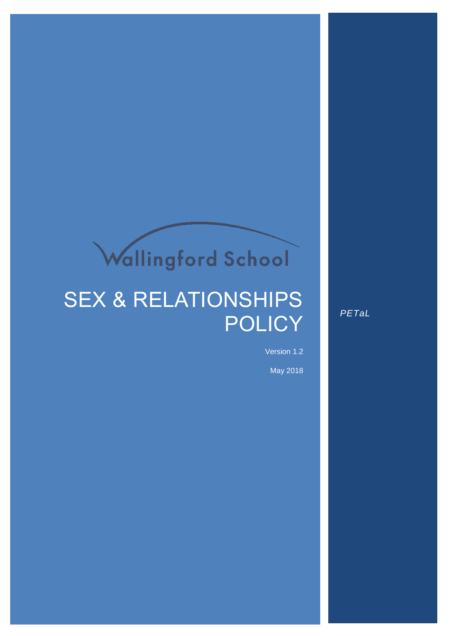# Wallingford School

# SEX & RELATIONSHIPS **POLICY**

*PETaL*

Version 1.2

May 2018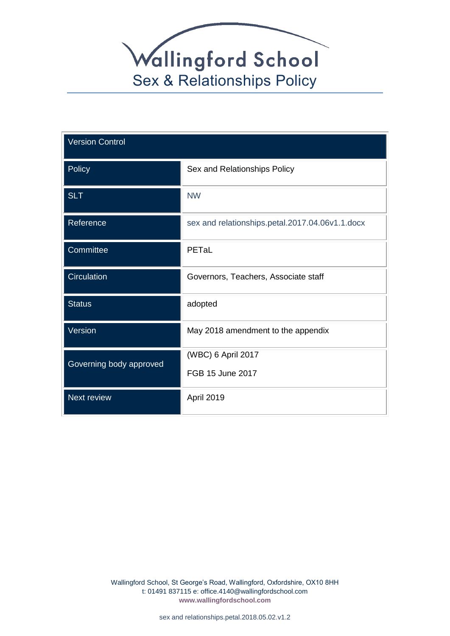

| <b>Version Control</b>  |                                                 |  |
|-------------------------|-------------------------------------------------|--|
| Policy                  | Sex and Relationships Policy                    |  |
| <b>SLT</b>              | <b>NW</b>                                       |  |
| Reference               | sex and relationships.petal.2017.04.06v1.1.docx |  |
| Committee               | PETaL                                           |  |
| Circulation             | Governors, Teachers, Associate staff            |  |
| <b>Status</b>           | adopted                                         |  |
| Version                 | May 2018 amendment to the appendix              |  |
| Governing body approved | (WBC) 6 April 2017                              |  |
|                         | FGB 15 June 2017                                |  |
| Next review             | April 2019                                      |  |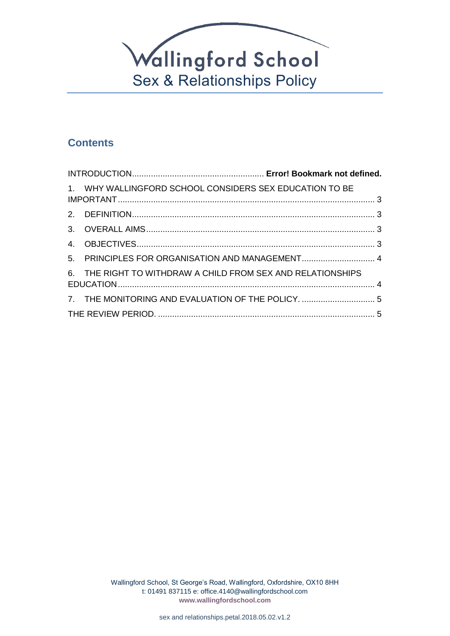

# **Contents**

| 1. WHY WALLINGFORD SCHOOL CONSIDERS SEX EDUCATION TO BE     |  |
|-------------------------------------------------------------|--|
|                                                             |  |
|                                                             |  |
|                                                             |  |
| 5. PRINCIPLES FOR ORGANISATION AND MANAGEMENT 4             |  |
| 6. THE RIGHT TO WITHDRAW A CHILD FROM SEX AND RELATIONSHIPS |  |
| 7. THE MONITORING AND EVALUATION OF THE POLICY.  5          |  |
|                                                             |  |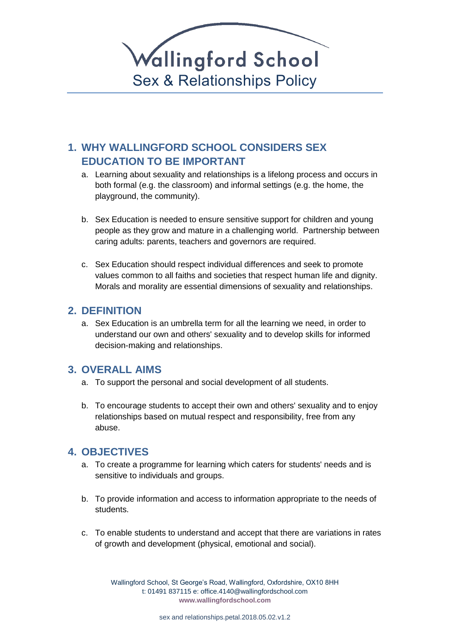

# <span id="page-3-0"></span>**1. WHY WALLINGFORD SCHOOL CONSIDERS SEX EDUCATION TO BE IMPORTANT**

- a. Learning about sexuality and relationships is a lifelong process and occurs in both formal (e.g. the classroom) and informal settings (e.g. the home, the playground, the community).
- b. Sex Education is needed to ensure sensitive support for children and young people as they grow and mature in a challenging world. Partnership between caring adults: parents, teachers and governors are required.
- c. Sex Education should respect individual differences and seek to promote values common to all faiths and societies that respect human life and dignity. Morals and morality are essential dimensions of sexuality and relationships.

#### <span id="page-3-1"></span>**2. DEFINITION**

a. Sex Education is an umbrella term for all the learning we need, in order to understand our own and others' sexuality and to develop skills for informed decision-making and relationships.

# <span id="page-3-2"></span>**3. OVERALL AIMS**

- a. To support the personal and social development of all students.
- b. To encourage students to accept their own and others' sexuality and to enjoy relationships based on mutual respect and responsibility, free from any abuse.

# <span id="page-3-3"></span>**4. OBJECTIVES**

- a. To create a programme for learning which caters for students' needs and is sensitive to individuals and groups.
- b. To provide information and access to information appropriate to the needs of students.
- c. To enable students to understand and accept that there are variations in rates of growth and development (physical, emotional and social).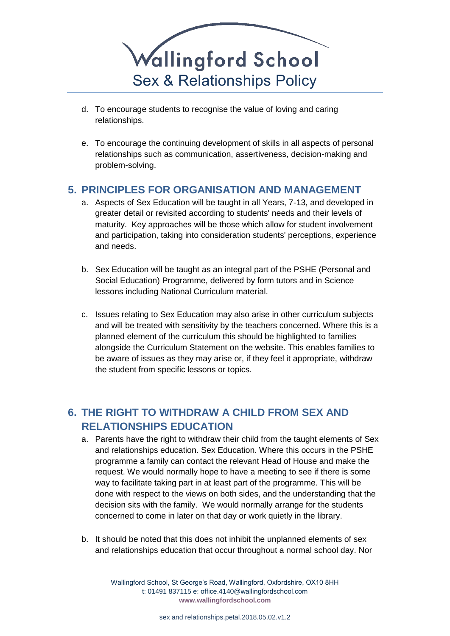

- d. To encourage students to recognise the value of loving and caring relationships.
- e. To encourage the continuing development of skills in all aspects of personal relationships such as communication, assertiveness, decision-making and problem-solving.

# <span id="page-4-0"></span>**5. PRINCIPLES FOR ORGANISATION AND MANAGEMENT**

- a. Aspects of Sex Education will be taught in all Years, 7-13, and developed in greater detail or revisited according to students' needs and their levels of maturity. Key approaches will be those which allow for student involvement and participation, taking into consideration students' perceptions, experience and needs.
- b. Sex Education will be taught as an integral part of the PSHE (Personal and Social Education) Programme, delivered by form tutors and in Science lessons including National Curriculum material.
- c. Issues relating to Sex Education may also arise in other curriculum subjects and will be treated with sensitivity by the teachers concerned. Where this is a planned element of the curriculum this should be highlighted to families alongside the Curriculum Statement on the website. This enables families to be aware of issues as they may arise or, if they feel it appropriate, withdraw the student from specific lessons or topics.

# <span id="page-4-1"></span>**6. THE RIGHT TO WITHDRAW A CHILD FROM SEX AND RELATIONSHIPS EDUCATION**

- a. Parents have the right to withdraw their child from the taught elements of Sex and relationships education. Sex Education. Where this occurs in the PSHE programme a family can contact the relevant Head of House and make the request. We would normally hope to have a meeting to see if there is some way to facilitate taking part in at least part of the programme. This will be done with respect to the views on both sides, and the understanding that the decision sits with the family. We would normally arrange for the students concerned to come in later on that day or work quietly in the library.
- b. It should be noted that this does not inhibit the unplanned elements of sex and relationships education that occur throughout a normal school day. Nor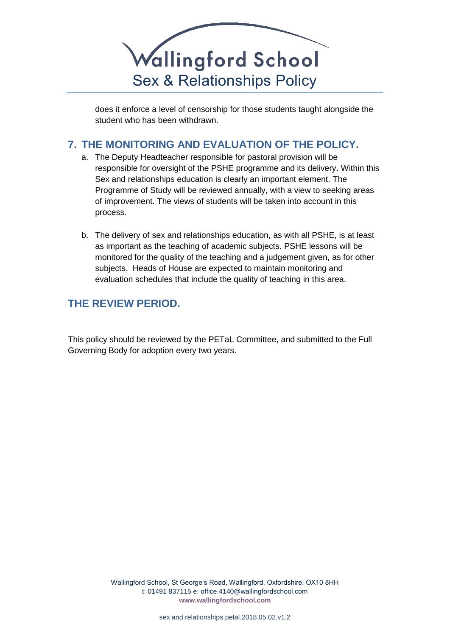

does it enforce a level of censorship for those students taught alongside the student who has been withdrawn.

# <span id="page-5-0"></span>**7. THE MONITORING AND EVALUATION OF THE POLICY.**

- a. The Deputy Headteacher responsible for pastoral provision will be responsible for oversight of the PSHE programme and its delivery. Within this Sex and relationships education is clearly an important element. The Programme of Study will be reviewed annually, with a view to seeking areas of improvement. The views of students will be taken into account in this process.
- b. The delivery of sex and relationships education, as with all PSHE, is at least as important as the teaching of academic subjects. PSHE lessons will be monitored for the quality of the teaching and a judgement given, as for other subjects. Heads of House are expected to maintain monitoring and evaluation schedules that include the quality of teaching in this area.

# <span id="page-5-1"></span>**THE REVIEW PERIOD.**

This policy should be reviewed by the PETaL Committee, and submitted to the Full Governing Body for adoption every two years.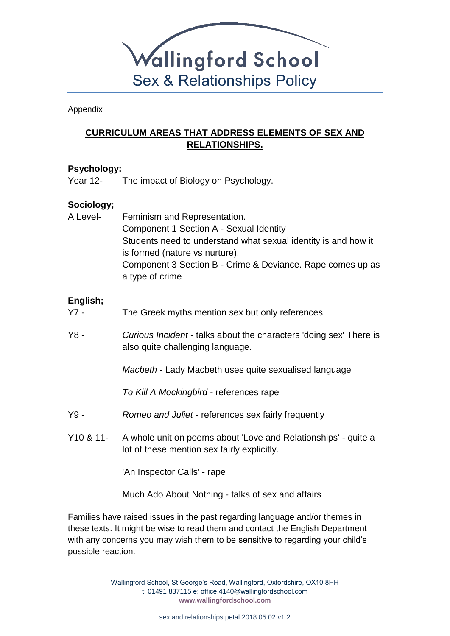

Appendix

# **CURRICULUM AREAS THAT ADDRESS ELEMENTS OF SEX AND RELATIONSHIPS.**

#### **Psychology:**

Year 12- The impact of Biology on Psychology.

#### **Sociology;**

A Level- Feminism and Representation. Component 1 Section A - Sexual Identity Students need to understand what sexual identity is and how it is formed (nature vs nurture). Component 3 Section B - Crime & Deviance. Rape comes up as a type of crime

#### **English;**

- Y7 The Greek myths mention sex but only references
- Y8 *Curious Incident* talks about the characters 'doing sex' There is also quite challenging language.

*Macbeth* - Lady Macbeth uses quite sexualised language

*To Kill A Mockingbird* - references rape

- Y9 *Romeo and Juliet -* references sex fairly frequently
- Y10 & 11- A whole unit on poems about 'Love and Relationships' quite a lot of these mention sex fairly explicitly.

'An Inspector Calls' - rape

Much Ado About Nothing - talks of sex and affairs

Families have raised issues in the past regarding language and/or themes in these texts. It might be wise to read them and contact the English Department with any concerns you may wish them to be sensitive to regarding your child's possible reaction.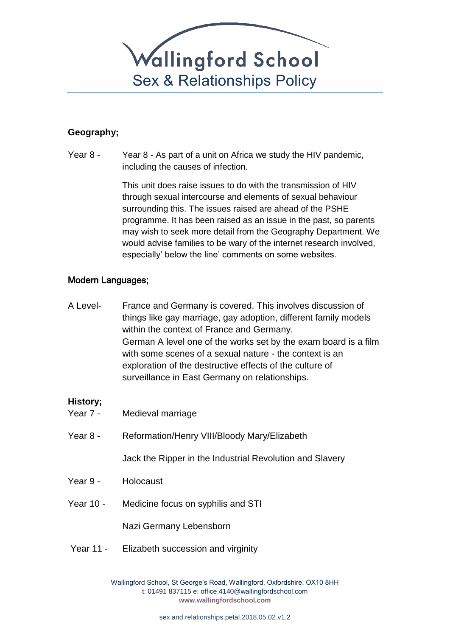

#### **Geography;**

Year 8 - Year 8 - As part of a unit on Africa we study the HIV pandemic, including the causes of infection.

> This unit does raise issues to do with the transmission of HIV through sexual intercourse and elements of sexual behaviour surrounding this. The issues raised are ahead of the PSHE programme. It has been raised as an issue in the past, so parents may wish to seek more detail from the Geography Department. We would advise families to be wary of the internet research involved, especially' below the line' comments on some websites.

#### Modern Languages;

A Level- France and Germany is covered. This involves discussion of things like gay marriage, gay adoption, different family models within the context of France and Germany. German A level one of the works set by the exam board is a film with some scenes of a sexual nature - the context is an exploration of the destructive effects of the culture of surveillance in East Germany on relationships.

#### **History;**

| Year 7 -  | Medieval marriage                                        |
|-----------|----------------------------------------------------------|
| Year 8 -  | Reformation/Henry VIII/Bloody Mary/Elizabeth             |
|           | Jack the Ripper in the Industrial Revolution and Slavery |
| Year 9 -  | Holocaust                                                |
| Year 10 - | Medicine focus on syphilis and STI                       |
|           | Nazi Germany Lebensborn                                  |
|           | Year 11 - Elizabeth succession and virginity             |
|           |                                                          |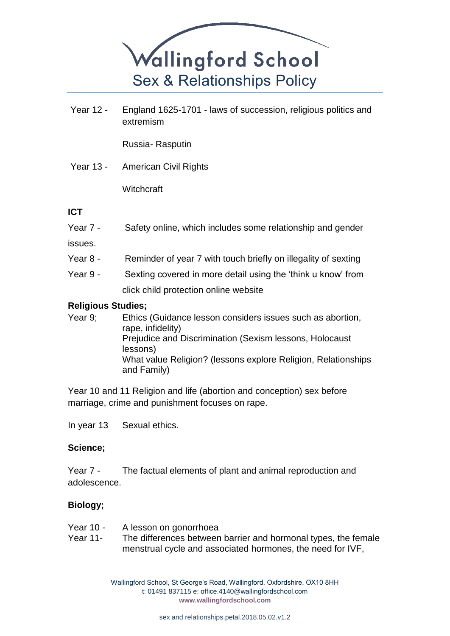

Year 12 - England 1625-1701 - laws of succession, religious politics and extremism

Russia- Rasputin

Year 13 - American Civil Rights

**Witchcraft** 

#### **ICT**

Year 7 - Safety online, which includes some relationship and gender

issues.

- Year 8 Reminder of year 7 with touch briefly on illegality of sexting
- Year 9 Sexting covered in more detail using the 'think u know' from click child protection online website

#### **Religious Studies;**

Year 9; Ethics (Guidance lesson considers issues such as abortion, rape, infidelity) Prejudice and Discrimination (Sexism lessons, Holocaust lessons) What value Religion? (lessons explore Religion, Relationships and Family)

Year 10 and 11 Religion and life (abortion and conception) sex before marriage, crime and punishment focuses on rape.

In year 13 Sexual ethics.

#### **Science;**

Year 7 - The factual elements of plant and animal reproduction and adolescence.

#### **Biology;**

- Year 10 A lesson on gonorrhoea
- Year 11- The differences between barrier and hormonal types, the female menstrual cycle and associated hormones, the need for IVF,